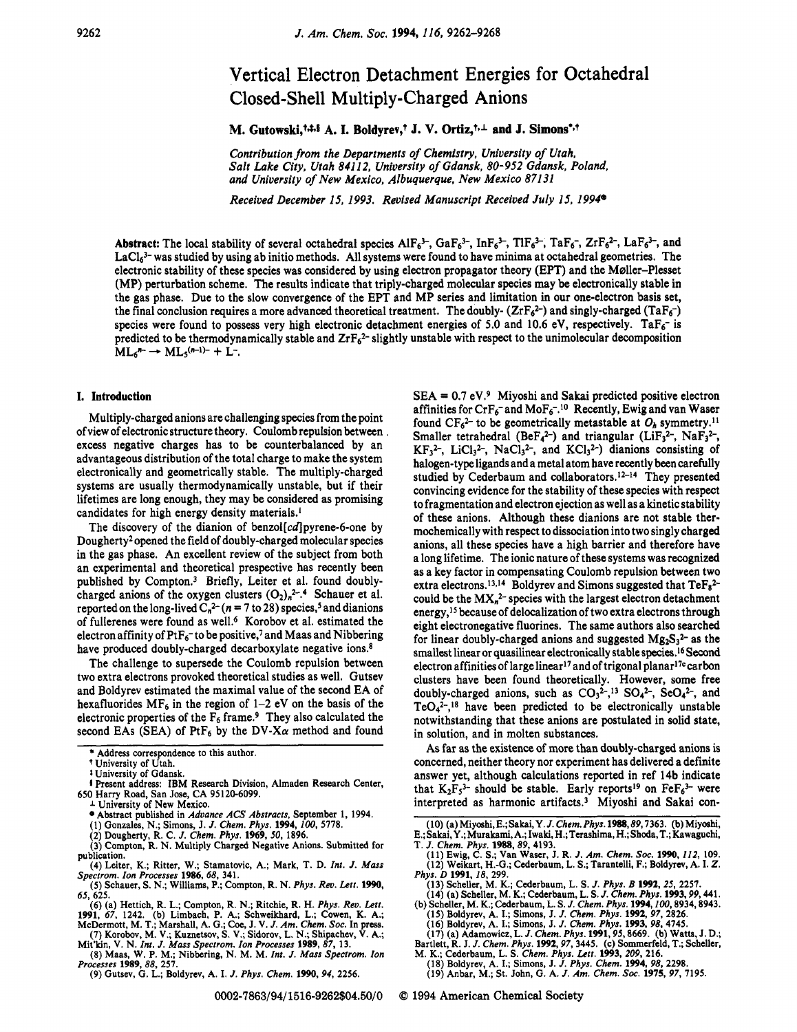# Vertical Electron Detachment Energies for Octahedral Closed-Shell Multiply-Charged Anions

M. Gutowski,<sup>t, $\ddagger$ ,  $\ddagger$ ,  $\ddagger$ , A. I. Boldyrev,<sup>†</sup> J. V. Ortiz,<sup>t, $\perp$ </sup> and J. Simons<sup>\*,†</sup></sup>

Contribution from the Departments of Chemistry, University of Utah, Salt Lake City, Utah *84112,* University *of* Gdansk, *80-952* Gdansk, Poland, and University *of* New Mexico, Albuquerque, New Mexico *871 31* 

Received December *15, 1993.* Revised Manuscript Received July *15, 1994'* 

Abstract: The local stability of several octahedral species  $AIF_6^{3-}$ ,  $GaF_6^{3-}$ ,  $InF_6^{3-}$ ,  $TIF_6^{3-}$ ,  $TIF_6^{3-}$ ,  $IaF_6^{-}$ ,  $ZrF_6^{2-}$ ,  $LaF_6^{3-}$ , and LaCl<sub>6</sub>3- was studied by using ab initio methods. All systems were found to have minima at octahedral geometries. The electronic stability of these species was considered by using electron propagator theory (EPT) and the Møller-Plesset (MP) perturbation scheme. The results indicate that triply-charged molecular species may be electronically stable in the gas phase. Due to the slow convergence of the EFT and MP series and limitation in our one-electron basis set, the final conclusion requires a more advanced theoretical treatment. The doubly-  $(ZrF_6^2)$  and singly-charged (TaF $_6^-$ ) species were found to possess very high electronic detachment energies of 5.0 and 10.6 eV, respectively. TaF<sub>6</sub>- is predicted to be thermodynamically stable and  $ZrF_6^2$ - slightly unstable with respect to the unimolecular decomposition  $ML_6'' \rightarrow ML_5^{(n-1)-} + L^-$ .

## **I. Introduction**

Multiply-charged anions are challenging species from the point of view of electronic structure theory. Coulomb repulsion between excess negative charges has to be counterbalanced by an advantageous distribution of the total charge to make the system electronically and geometrically stable. The multiply-charged systems are usually thermodynamically unstable, but if their lifetimes are long enough, they may be considered as promising candidates for high energy density materials.'

The discovery of the dianion of benzol $[cd]$ pyrene-6-one by Dougherty2 opened the field of doubly-charged molecular species in the gas phase. An excellent review of the subject from both an experimental and theoretical prespective has recently been published by Compton.3 Briefly, Leiter et al. found doublycharged anions of the oxygen clusters  $(O_2)_n^2$ <sup>-.4</sup> Schauer et al. reported on the long-lived  $C_n^2$ <sup>2-</sup> ( $n = 7$  to 28) species,<sup>5</sup> and dianions of fullerenes were found as we11.6 Korobov et al. estimated the electron affinity of  $PtF_6$ <sup>-</sup> to be positive,<sup>7</sup> and Maas and Nibbering have produced doubly-charged decarboxylate negative ions.<sup>8</sup>

The challenge to supersede the Coulomb repulsion between two extra electrons provoked theoretical studies **as** well. Gutsev and Boldyrev estimated the maximal value of the second EA of hexafluorides  $MF_6$  in the region of 1-2 eV on the basis of the electronic properties of the  $F_6$  frame.<sup>9</sup> They also calculated the second EAs (SEA) of PtF<sub>6</sub> by the DV-X $\alpha$  method and found

- **(2)** Dougherty, R. C. *J. Chem. Phys.* **1969,50, 1896.**
- **(3)** Compton, R. N. Multiply Charged Negative Anions. Submitted for publication.
- (4) Leiter, K.; Ritter, W.; Stamatovic, A.; Mark, T. D. *Int. J. Mass*<br>Spectrom. Ion Processes 1986, 68, 341.<br>(5) Schauer, S. N.; Williams, P.; Compton, R. N. Phys. Rev. Lett. 1990,
- **65, 625.**
- (6) (a) Hettich, R. L.; Compton, R. N.; Ritchie, R. H. *Phys. Rev. Lett.*
- **1991, 67, 1242.** (b) Limbach, P. **A,;** Schweikhard, L.; Cowen, K. A.; McDermott, M. T.; Marshall, A. G.; Coe, J. V. *J.* Am. Chem. Soc. In press. **(7)** Korobov, M. V.; Kuznetsov, **S.** V.; Sidorov, L. N.; Shipachev, V. A.;
- Mit'kin, V. N. *Int.* J. *Mass Spectrom. Ion Processes* **1989, 87, 13. (8)** Maas, W. **P.** M.; Nibbering, N. M. M. *Int. J. Mass Spectrom. Ion*
- *Processes* **1989,** *88,* **257.** 
	- **(9)** Gutsev, G. L.; Boldyrev, A. I. *J. Phys. Chem.* **1990, 94, 2256.**

 $SEA = 0.7$  eV.<sup>9</sup> Miyoshi and Sakai predicted positive electron affinities for  $CrF_6$ -and Mo $F_6^{-10}$  Recently, Ewig and van Waser found  $CF<sub>6</sub><sup>2-</sup>$  to be geometrically metastable at  $O<sub>h</sub>$  symmetry.<sup>11</sup> Smaller tetrahedral (BeF<sub>4</sub><sup>2-</sup>) and triangular (LiF<sub>3</sub><sup>2-</sup>, NaF<sub>3</sub><sup>2-</sup>,  $KF<sub>3</sub><sup>2-</sup>, LiCl<sub>3</sub><sup>2-</sup>, NaCl<sub>3</sub><sup>2-</sup>, and KCl<sub>3</sub><sup>2-</sup>)$  dianions consisting of halogen-type ligands and a metal atom have recently been carefully studied by Cederbaum and collaborators.<sup>12-14</sup> They presented convincing evidence for the stability of these species with respect to fragmentation and electron ejection as well as a kinetic stability of these anions. Although these dianions are not stable thermochemically with respect to dissociation into two singly charged anions, all these species have a high barrier and therefore have a long lifetime. The ionic nature of these systems was recognized as a key factor in compensating Coulomb repulsion between two extra electrons.<sup>13,14</sup> Boldyrev and Simons suggested that  $TeF_8^{2-}$ could be the  $MX_n^2$ - species with the largest electron detachment energy,15 because of delocalization of two extra electrons through eight electronegative fluorines. The same authors also searched for linear doubly-charged anions and suggested  $Mg_2S_3^2$  as the smallest linear or quasilinear electronically stable species.16 Second electron affinities of large linear<sup>17</sup> and of trigonal planar<sup>17c</sup> carbon clusters have been found theoretically. However, some free doubly-charged anions, such as  $CO_3^2$ <sup>2-</sup>,<sup>13</sup> SO<sub>4</sub><sup>2-</sup>, SeO<sub>4</sub><sup>2-</sup>, and  $TeO<sub>4</sub><sup>2</sup>$ ,<sup>18</sup> have been predicted to be electronically unstable notwithstanding that these anions are postulated in solid state, in solution, and in molten substances.

As far as the existence of more than doubly-charged anions is concerned, neither theory nor experiment has delivered a definite answer yet, although calculations reported in ref 14b indicate that  $K_2F_5^3$ - should be stable. Early reports<sup>19</sup> on  $\text{FeF}_6^3$ - were interpreted as harmonic artifacts.<sup>3</sup> Miyoshi and Sakai con-

**(11)** Ewig, **C. S.;** Van Waser, J. R. J. *Am. Chem. Soc.* **1990,** *112,* **109. (12)** Weikart, H.-G.; Cederbaum. L. **S.;** Tarantelli, F.; Boldyrev, A. I. *Z.* 

- **(13)** Scheller, M. **K.;** Cederbaum, L. **S.** *J. Phys. B* **1992,** *25,* **2257. (14)** (a) Scheller, M. K.; Cederbaum, L. **S.** J. *Chem. Phys.* **1993,99,441.**
- (b) Scheller, M. K.; Cederbaum, L. **S.** *J. Chem. Phys.* **1994,100,8934,8943.** 
	-
	-
- (15) Boldyrev, A. I.; Simons, J. J. Chem. Phys. 1992, 97, 2826.<br>(16) Boldyrev, A. I.; Simons, J. J. Chem. Phys. 1993, 98, 4745.<br>(17) (a) Adamowicz, L. J. Chem. Phys. 1991, 95, 8669. (b) Watts, J. D.;
- Bartlett, R. J. J. Chem. Phys. 1992, 97, 3445. (c) Sommerfeld, T.; Scheller, M. K.; Cederbaum, L. S. Chem. Phys. Lett. 1993, 209, 216.<br>(18) Boldyrev, A. I.; Simons, J. J. Phys. Chem. 1994, 98, 2298.<br>(19) Anbar, M.; St. Joh
- 
- 
- 

*0* **1994** American Chemical Society

<sup>\*</sup> Address correspondence to this author.

t University of Utah.

*t* University of Gdansk.

**<sup>4</sup>**Present address: IBM Research Division, Almaden Research Center, **650** Harry Road, San Jose, CA **95120-6099.** 

**<sup>1</sup>** University of New Mexico. \*Abstract published in *Advance* ACS *Abstracts,* September **1, 1994.** 

<sup>(1)</sup> Gonzales, N.; Simons, J. *J. Chem. Phys.* **1994,** *100,* **5778.** 

<sup>(10) (</sup>a) Miyoshi, E.; Sakai, Y. J. Chem. Phys. 1988, 89, 7363. (b) Miyoshi, E.; Sakai, Y.; Murakami, A.; Iwaki, H.; Terashima, H.; Shoda, T.; Kawaguchi, T. J. Chem. Phys. 1988, 89, 4193.

*Phys.* D **1991,** *18,* **299.**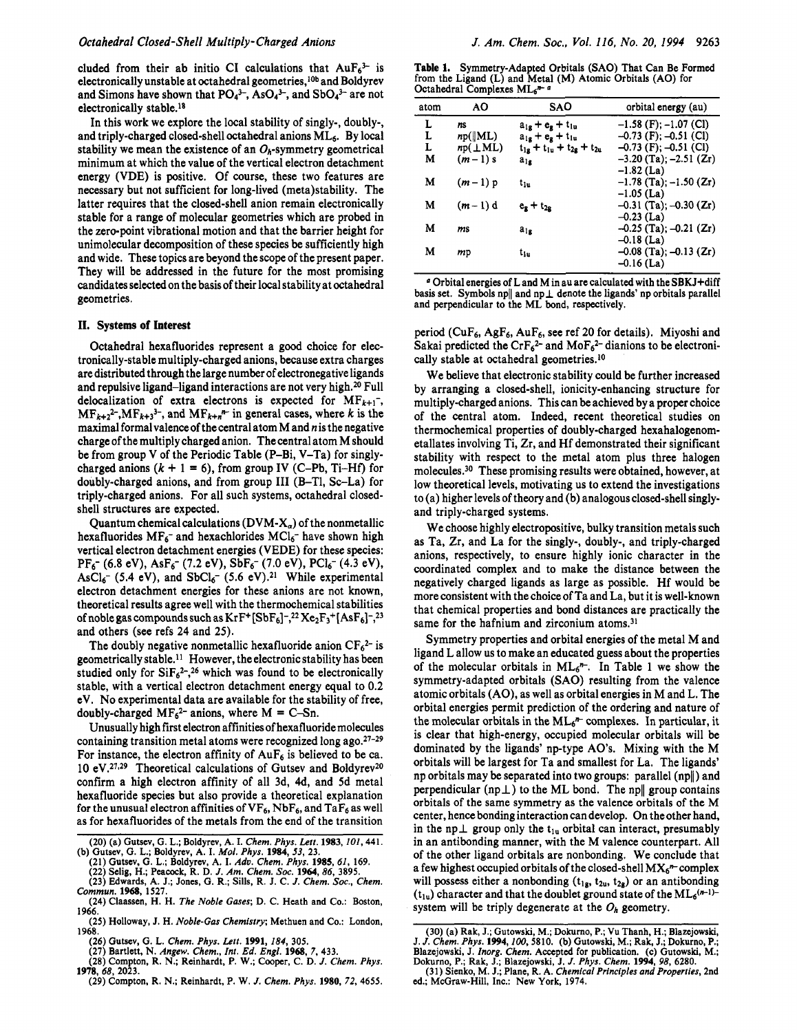cluded from their ab initio CI calculations that  $AuF_6^{3-}$  is electronically unstable at octahedral geometries,<sup>10b</sup> and Boldyrev and Simons have shown that  $PO_4^{3-}$ , As $O_4^{3-}$ , and Sb $O_4^{3-}$  are not electronically stable.<sup>18</sup>

In this work we explore the local stability of singly-, doubly-, and triply-charged closed-shell octahedral anions ML6. By local stability we mean the existence of an  $O_h$ -symmetry geometrical minimum at which the value of the vertical electron detachment energy (VDE) is positive. Of course, these two features are necessary but not sufficient for long-lived (meta)stability. The latter requires that the closed-shell anion remain electronically stable for a range of molecular geometries which are probed in the zero-point vibrational motion and that the barrier height for unimolecular decomposition of these species be sufficiently high and wide. These topics are beyond the scope of the present paper. They will be addressed in the future for the most promising candidates selected on the basis of their local stability at octahedral geometries.

# **11. Systems of Interest**

Octahedral hexafluorides represent a good choice for electronically-stable multiply-charged anions, because extra charges are distributed through the large number of electronegative ligands and repulsive ligand-ligand interactions are not very high.20 Full delocalization of extra electrons is expected for  $MF<sub>k+1</sub>^-$ ,  $MF_{k+2}^2$ ,  $MF_{k+3}^3$ , and  $MF_{k+n}$  in general cases, where *k* is the maximal formalvalenceof the central atom M and *n* is the negative charge of the multiply charged anion. The central atom M should be from group V of the Periodic Table (P-Bi, V-Ta) for singlycharged anions  $(k + 1 = 6)$ , from group IV (C-Pb, Ti-Hf) for doubly-charged anions, and from group III (B-Tl, Sc-La) for triply-charged anions. For all such systems, octahedral closedshell structures are expected.

Quantum chemical calculations ( $\text{DVM-X}_\alpha$ ) of the nonmetallic hexafluorides  $MF_6$ - and hexachlorides  $MCl_6$ - have shown high vertical electron detachment energies (VEDE) for these species:  $AsCl<sub>6</sub><sup>-</sup>$  (5.4 eV), and  $SbCl<sub>6</sub><sup>-</sup>$  (5.6 eV).<sup>21</sup> While experimental electron detachment energies for these anions are not known, theoretical results agree well with the thermochemical stabilities of noble gas compounds such as  $KrF^{+}[SbF_6]^{-2}Xe_2F_3^{+}[AsF_6]^{-2}$ and others (see refs **24** and **25).**  PF6- *(6.8* ev), ASF6- *(7.2* ev), SbF6- *(7.0* ev), Pc16- **(4.3** ev),

The doubly negative nonmetallic hexafluoride anion  $CF_6^{2-}$  is geometrically stable.<sup>11</sup> However, the electronic stability has been studied only for  $\text{SiF}_6^{2-}$ ,<sup>26</sup> which was found to be electronically stable, with a vertical electron detachment energy equal to **0.2**  eV. No experimental data are available for the stability of free, doubly-charged  $MF<sub>6</sub><sup>2-</sup>$  anions, where  $M = C-Sn$ .

Unusually high first electron affinities of hexafluoride molecules containing transition metal atoms were recognized long ago.27-29 For instance, the electron affinity of  $AuF_6$  is believed to be ca. 10 eV.<sup>27,29</sup> Theoretical calculations of Gutsev and Boldyrev<sup>20</sup> confirm a high electron affinity of all 3d, 4d, and 5d metal hexafluoride species but also provide a theoretical explanation for the unusual electron affinities of  $VF_6$ , NbF<sub>6</sub>, and TaF<sub>6</sub> as well as for hexafluorides of the metals from the end of the transition

**(29)** Compton, R. N.; Reinhardt, P. W. *J. Chem. Phys.* **1980, 72, 4655. 1978, 68, 2023.** 

Table **1.** Symmetry-Adapted Orbitals (SAO) That Can Be Formed from the Ligand (L) and Metal **(M)** Atomic Orbitals (AO) for Octahedral Complexes ML6<sup>n-6</sup>

| atom | AΟ             | SAO                                 | orbital energy (au)        |
|------|----------------|-------------------------------------|----------------------------|
| L    | ns             | $a_{1g} + e_g + t_{1u}$             | $-1.58$ (F); $-1.07$ (Cl)  |
| L    | np(  ML)       | $a_{1g} + e_{g} + t_{1u}$           | $-0.73$ (F); $-0.51$ (Cl)  |
| L    | $np(\perp ML)$ | $t_{1g} + t_{1u} + t_{2g} + t_{2u}$ | $-0.73$ (F); $-0.51$ (Cl)  |
| M    | $(m-1)$ s      | $a_{1g}$                            | $-3.20$ (Ta); $-2.51$ (Zr) |
|      |                |                                     | $-1.82$ (La)               |
| M    | $(m-1)$ p      | $t_{1u}$                            | $-1.78$ (Ta); $-1.50$ (Zr) |
|      |                |                                     | $-1.05$ (La)               |
| M    | $(m-1)d$       | $e_{R} + t_{2R}$                    | $-0.31$ (Ta); $-0.30$ (Zr) |
|      |                |                                     | $-0.23$ (La)               |
| M    | ms             | $a_{12}$                            | $-0.25$ (Ta); $-0.21$ (Zr) |
|      |                |                                     | $-0.18$ (La)               |
| M    | mp             | †լը                                 | $-0.08$ (Ta); $-0.13$ (Zr) |
|      |                |                                     | $-0.16$ (La)               |

*<sup>a</sup>*Orbital energies of L and M in au are calculated with the SBKJ+diff basis set. Symbols np $\parallel$  and np $\perp$  denote the ligands' np orbitals parallel and perpendicular to the ML bond, respectively.

period (CuF6, AgF6, AuF6, see ref **20** for details). Miyoshi and Sakai predicted the Cr $F_6^2$ - and Mo $F_6^2$ - dianions to be electronically stable at octahedral geometries.10

We believe that electronic stability could be further increased by arranging a closed-shell, ionicity-enhancing structure for multiply-charged anions. This can be achieved by a proper choice of the central atom. Indeed, recent theoretical studies on thermochemical properties of doubly-charged hexahalogenometallates involving Ti, Zr, and Hf demonstrated their significant stability with respect to the metal atom plus three halogen molecules.30 These promising results were obtained, however, at low theoretical levels, motivating **us** to extend the investigations to (a) higher levels of theory and (b) analogous closed-shell singlyand triply-charged systems.

We choose highly electropositive, bulky transition metals such as Ta, Zr, and La for the singly-, doubly-, and triply-charged anions, respectively, to ensure highly ionic character in the coordinated complex and to make the distance between the negatively charged ligands as large as possible. Hf would be more consistent with the choice of Ta and La, but it is well-known that chemical properties and bond distances are practically the same for the hafnium and zirconium atoms.<sup>31</sup>

Symmetry properties and orbital energies of the metal M and ligand L allow **us** to make an educated guess about the properties of the molecular orbitals in  $ML<sub>6</sub>$ ". In Table 1 we show the symmetry-adapted orbitals (SAO) resulting from the valence atomic orbitals (AO), as well as orbital energies in M and L. The orbital energies permit prediction of the ordering and nature of the molecular orbitals in the  $ML_6^n$  complexes. In particular, it is clear that high-energy, occupied molecular orbitals will be dominated by the ligands' np-type AO's. Mixing with the M orbitals will be largest for Ta and smallest for La. The ligands' np orbitals may be separated into two groups: parallel (npll) and perpendicular  $(np \perp)$  to the ML bond. The np|| group contains orbitals of the same symmetry as the valence orbitals of the M center, hence bonding interaction can develop. On the other hand, in the np  $\perp$  group only the t<sub>lu</sub> orbital can interact, presumably in an antibonding manner, with the M valence counterpart. All of the other ligand orbitals are nonbonding. We conclude that a few highest occupied orbitals of the closed-shell  $MX<sub>6</sub>''$ -complex will possess either a nonbonding  $(t_{1g}, t_{2u}, t_{2g})$  or an antibonding  $(t_{1u})$  character and that the doublet ground state of the  $ML<sub>6</sub>(m-1)$ system will be triply degenerate at the *oh* geometry.

**<sup>(20)</sup>** (a) Gutsev, *G.* L.; Boldyrev, A. I. *Chem. Phys. Lett.* **1983,101,441. (b)** Gutsev, **G.** L.; Boldyrev, A. I. Mol. *Phys.* **1984,** *53,* **23.** 

<sup>(21)</sup> Gutsev, G. L.; Boldyrev, A. I. Adv. Chem. Phys. 1985, 61, 169.<br>(22) Selig, H.; Peacock, R. D. J. Am. Chem. Soc. 1964, 86, 3895.<br>(23) Edwards, A. J.; Jones, G. R.; Sills, R. J. C. J. Chem. Soc., Chem.

*Commun.* **1968, 1527.** 

**<sup>(24)</sup>** Claassen, H. H. *The Noble Gases;* D. C. Heath and Co.: Boston, **1966.** 

**<sup>(25)</sup>** Holloway, J. H. *Noble-Gas Chemistry;* Methuen and Co.: London, **1968.** 

<sup>(26)</sup> Gutsev, G. L. *Chem. Phys. Lett.* 1991, 184, 305.<br>(27) Bartlett, N. *Angew. Chem., Int. Ed. Engl.* 1968, 7, 433.<br>(28) Compton, R. N.; Reinhardt, P. W.; Cooper, C. D. *J. Chem. Phys.* 

**<sup>(30)</sup>** (a) Rak, J.; Gutowski, M.; Dokurno, P.; **Vu** Thanh, H.; Blazejowski, J. *J. Chem. Phys.* **1994,100,5810.** (b) Gutowski, M.; Rak, J.; Dokurno, **P.;**  Blazejowski, J. Inorg. Chem. Accepted for publication. (c) Gutowski, M.; Dokurno, P.; Rak, J.; Blazejowski, J. J. Phys. Chem. 1994, 98, 6280. (31) Sienko, M. J.; Plane, R. A. Chemical Principles and Properties, 2nd

*ed.;* McGraw-Hill, Inc.: New York, **1974.**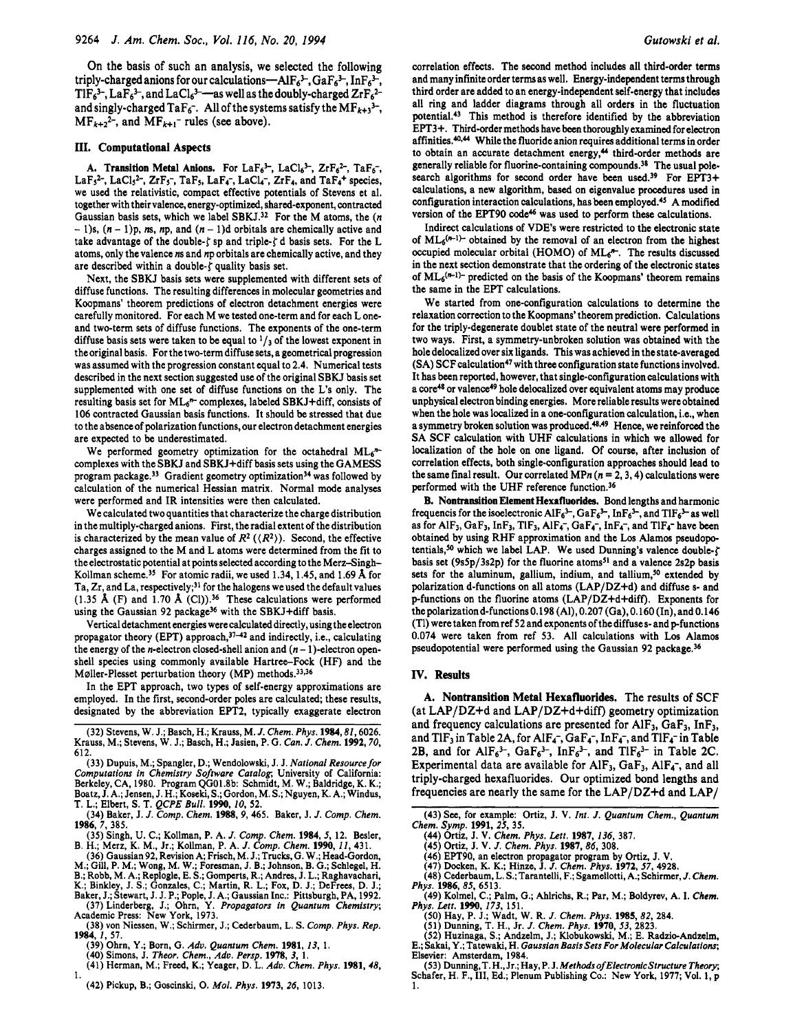On the basis of such an analysis, we selected the following triply-charged anions for our calculations—AlF<sub>6</sub><sup>3-</sup>, GaF<sub>6</sub><sup>3-</sup>, InF<sub>6</sub><sup>3-</sup>,  $TIF<sub>6</sub><sup>3-</sup>, LaF<sub>6</sub><sup>3-</sup>, and LaCl<sub>6</sub><sup>3-</sup>—as well as the doubly-charged ZrF<sub>6</sub><sup>2</sup>$ and singly-charged TaF<sub>6</sub>-. All of the systems satisfy the MF<sub>k+3</sub><sup>3-</sup>,  $MF_{k+2}^2$ -, and  $MF_{k+1}$ - rules (see above).

#### **111. Computational Aspects**

A. Transition Metal Anions. For  $LaF_6^3$ ,  $LaCl_6^3$ ,  $ZrF_6^2$ ,  $TaF_6^2$ , LaF<sub>5</sub><sup>2-</sup>, LaCl<sub>5</sub><sup>2-</sup>, ZrF<sub>5</sub><sup>-</sup>, TaF<sub>5</sub>, LaF<sub>4</sub><sup>-</sup>, LaCl<sub>4</sub><sup>-</sup>, ZrF<sub>4</sub>, and TaF<sub>4</sub><sup>+</sup> species, we used the relativistic, compact effective potentials of Stevens et al. together with their valence, energy-optimized, shared-exponent, contracted Gaussian basis sets, which we label SBKJ.<sup>32</sup> For the M atoms, the  $(n - 1)$  $- 1$ )s,  $(n - 1)p$ , *ns*, *np*, and  $(n - 1)d$  orbitals are chemically active and take advantage of the double- $\zeta$  sp and triple- $\zeta$  d basis sets. For the L atoms, only the valence *ns* and np orbitals are chemically active, and they are described within a double- $\zeta$  quality basis set.

Next, the SBKJ basis sets were supplemented with different sets of diffuse functions. The resulting differences in molecular geometries and Koopmans' theorem predictions of electron detachment energies were carefully monitored. For each M we tested one-term and for each L oneand two-term sets of diffuse functions. The exponents of the one-term diffuse basis sets were taken to be equal to  $\frac{1}{3}$  of the lowest exponent in the original basis. For the two-term diffuse sets, a geometrical progression was assumed with the progression constant equal to 2.4. Numerical tests described in the next section suggested use of the original SBKJ basis set supplemented with one set of diffuse functions on the **L's** only. The resulting basis set for  $ML_6^n$  complexes, labeled SBKJ+diff, consists of 106 contracted Gaussian basis functions. It should be stressed that due to the absence of polarization functions, our electron detachment energies are expected to be underestimated.

We performed geometry optimization for the octahedral  $ML<sub>6</sub><sup>n</sup>$ complexes with the SBKJ and SBKJ+diff basis sets using the GAMESS program package.<sup>33</sup> Gradient geometry optimization<sup>34</sup> was followed by calculation of the numerical Hessian matrix. Normal mode analyses were performed and IR intensities were then calculated.

We calculated two quantities that characterize the charge distribution in the multiply-charged anions. First, the radial extent of the distribution is characterized by the mean value of  $R^2$  ( $\langle R^2 \rangle$ ). Second, the effective charges assigned to the M and L atoms were determined from the fit to the electrostatic potential at points selected according to the Merz-Singh-Kollman scheme.35 For atomic radii, we used 1.34,1.45, and 1.69 **A** for Ta,  $Zr$ , and La, respectively;<sup>31</sup> for the halogens we used the default values (1.35 **A** (F) and 1.70 **A** (Cl)).36 These calculations were performed using the Gaussian 92 package<sup>36</sup> with the SBKJ+diff basis.

Vertical detachment energies werecalculated directly, using the electron propagator theory (EPT) approach, $37-42$  and indirectly, i.e., calculating the energy of the *n*-electron closed-shell anion and  $(n - 1)$ -electron openshell species using commonly available Hartree-Fock (HF) and the Møller-Plesset perturbation theory  $(MP)$  methods.<sup>33,36</sup>

In the EFT approach, two types of self-energy approximations are employed. In the first, second-order poles are calculated; these results, designated by the abbreviation EPT2, typically exaggerate electron

(33) Dupuis, M.; Spangler, D.; Wendolowski, J. J. *National Resourcefor Computations in Chemistry Software Catalog,* University of California: Berkeley, CA, 1980. Program QG01.8b: Schmidt, M. W.; Baldridge, K. K.; Boatz, J.A.; Jensen, **J.H.;Koseki,S.;Gordon,M.S.;Nguyen,K.A.;** Windus, T. L.; Elbert, **S.** T. *QCPE* Bull. **1990,** *IO,* **52.** 

- (35) Singh, U. C.; Kollman, P. A. *J. Comp. Chem.* **1984,** *5,* 12. Besler, B. H.; Merz, K. M., Jr.; Kollman, P. A. J. *Comp. Chem.* **1990,** *IZ,* 431.
- (36) Gaussian 92, Revision A, Frisch, M. J.;Trucks, G. W.; Head-Gordon, M.; Gill, P. M.; Wong, M. W.; Foresman, J. **8.;** Johnson, B. G.; Schlegel, H.

- 
- B.; Robb, M. A.; Replogle, E. S.; Gomperts, R.; Andres, J. L.; Raghavachari, K.; Binkley, J. S.; Gonzales, C.; Martin, R. L.; Fox, D. J.; DeFrees, D. J.; Baker, J.; Stewart, J.J. P.; Pople, J. A.; Gaussian Inc.: Pittsburgh
- (38) von Niessen, W.; Schirmer, J.; Cederbaum, **L.** S. *Comp. Phys. Rep.*  **1984,** *I,* 57.
- 
- 
- (39) Ohrn, Y.; Born, G. *Adv. Quantum Chem.* **1981, 13,** 1. (40) Simons, J. *Theor. Chem., Adv. Persp.* **1978, 3,** 1. (41) Herman, M.; Freed, K.; Yeager, D. L. *Adu. Chem. Phys.* **1981,18,**  1.
	- (42) Pickup, B.; Goscinski, 0. *Mol. Phys.* **1973,** *26,* 1013.

correlation effects. The second method includes all third-order terms and many infinite order terms as well. Energy-independent terms through third order are added to an energy-independent self-energy that includes all ring and ladder diagrams through all orders in the fluctuation potential.43 This method is therefore identified by the abbreviation **EPT3+.** Third-order methods have been thoroughly examined for electron affinities.<sup>40,44</sup> While the fluoride anion requires additional terms in order to obtain an accurate detachment energy,<sup>44</sup> third-order methods are generally reliable for fluorine-containing compounds.38 The usual polesearch algorithms for second order have been used.<sup>39</sup> For **EPT3+** calculations, a new algorithm, based on eigenvalue procedures used in configuration interaction calculations, has been employed.<sup>45</sup> A modified version of the EPT90 code<sup>46</sup> was used to perform these calculations.

Indirect calculations of VDE's were restricted to the electronic state of  $ML<sub>6</sub>(m-1)-$  obtained by the removal of an electron from the highest occupied molecular orbital (HOMO) of  $ML<sub>6</sub>$ <sup> $+$ </sup>. The results discussed in the next section demonstrate that the ordering of the electronic states of  $ML_6^{(n-1)}$  predicted on the basis of the Koopmans' theorem remains the same in the EFT calculations.

We started from one-configuration calculations to determine the relaxation correction to the Koopmans' theorem prediction. Calculations for the triply-degenerate doublet state of the neutral were performed in two ways. First, a symmetry-unbroken solution was obtained with the hole delocalized over *six* ligands. This was achieved in the state-averaged (SA) SCF calculation<sup>47</sup> with three configuration state functions involved. It has been reported, however, that single-configuration calculations with a core<sup>48</sup> or valence<sup>49</sup> hole delocalized over equivalent atoms may produce unphysical electron binding energies. More reliable results wereobtained when the hole was localized in a one-configuration calculation, i.e., when a symmetry broken solution was produced.<sup>48,49</sup> Hence, we reinforced the SA SCF calculation with UHF calculations in which we allowed for localization of the hole on one ligand. Of course, after inclusion of correlation effects, both single-configuration approaches should lead to the same final result. Our correlated MPn  $(n = 2, 3, 4)$  calculations were performed with the UHF reference function.36

**B.** Nontransition Element Hexafluorides. Bond lengths and harmonic frequencis for the isoelectronic  $AIF_6^3$ ,  $GaF_6^3$ ,  $InF_6^3$ , and  $TIF_6^3$  as well as for AlF<sub>3</sub>, GaF<sub>3</sub>, InF<sub>3</sub>, TlF<sub>3</sub>, AlF<sub>4</sub>-, GaF<sub>4</sub>-, InF<sub>4</sub>-, and TlF<sub>4</sub>- have been obtained by using RHF approximation and the Los Alamos pseudopotentials,<sup>50</sup> which we label LAP. We used Dunning's valence double- $\zeta$ basis set (9s5p/3s2p) for the fluorine atoms<sup>51</sup> and a valence 2s2p basis sets for the aluminum, gallium, indium, and tallium,<sup>50</sup> extended by polarization d-functions on all atoms (LAP/DZ+d) and diffuse **s-** and p-functions on the fluorine atoms (LAP/DZ+d+diff). Exponents for **thepolarizationd-functions0.198** (Al),0.207 (Ga),0.160 (In),and0.146 (Tl) were taken from ref 52 and exponents of the diffuses- and p-functions 0.074 were taken from ref 53. All calculations with Los Alamos pseudopotential were performed using the Gaussian 92 package.<sup>36</sup>

## **IV. Results**

**A. Nontransition Metal Hexafluorides.** The results of SCF (at LAP/DZ+d and LAP/DZ+d+diff) geometry optimization and frequency calculations are presented for AlF<sub>3</sub>, GaF<sub>3</sub>, InF<sub>3</sub>, and  $TIF_3$  in Table 2A, for AlF<sub>4</sub>-, GaF<sub>4</sub>-, InF<sub>4</sub>-, and  $TIF_4$ - in Table 2B, and for AlF $_6^{3-}$ , GaF $_6^{3-}$ , InF $_6^{3-}$ , and TlF $_6^{3-}$  in Table 2C. Experimental data are available for  $AIF_3$ ,  $GaF_3$ ,  $AIF_4^-$ , and all triply-charged hexafluorides. Our optimized bond lengths and frequencies are nearly the same for the LAP/DZ+d and LAP/

- **(44)** Ortiz, J. V. *Chem. Phys. Lett.* **1987, 136,** 387. (45) Ortiz, J. V. J. *Chem. Phys.* **1987,** *86,* 308.
- 
- 
- (46) EPT90, an electron propagator program by Ortiz, J. V. (47) Docken, K. K.; Hinze, J. J. *Chem. Phys.* **1972.57,** 4928.
- (48) Cederbaum, L. S.; Tarantelli, F.; Sgamellotti, A.; Schirmer, J. Chem.
- (49) Kolmel, C.; Palm, G.; Ahlrichs, R.; Par, M.; Boldyrev, A. I. *Chem. Phys.* **1986,85,** 6513. *Phys. Lett.* **1990, 173,** 151.
	- **(SO)** Hay, P. J.; Wadt, W. R. *J. Chem. Phys.* **1985,82,** 284.
	- **(51)** Dunning, T. H., Jr. *J. Chem. Phys.* 1970, **53,** 2823.

(52) Huzinaga, **S.;** Andzelm, J.; Klobukowski, M.; E. Radzio-Andzelm, E.; Sakai, Y.; Tatewaki, H. *Gaussian Basis Sets For Molecular Calculations;* Elsevier: Amsterdam, 1984.

(53) Dunning, T.H., Jr.; Hay, P.J. *Methods of Electronic Structure Theory*; Schafer, H. F., III, Ed.; Plenum Publishing Co.: New York, 1977; Vol. 1, *p* 1.

<sup>(32)</sup> Stevens, W. J.; Basch, H.; Krauss, M. *1. Chem. Phys.* **1984,81,6026.**  Krauss, M.; Stevens, W. J.; Basch, **H.;** Jasien, P. G. *Can. J. Chem.* **1992,70,**  612.

<sup>(34)</sup> Baker, J. *J. Comp. Chem.* 1988,9,465. Baker, J. *J. Comp. Chem.*  **1986, 7,** 385.

<sup>(43)</sup> **See,** for example: Ortiz, J. V. *Inr. J. Quantum Chem., Quantum Chem. Symp.* **1991, 25,** 35.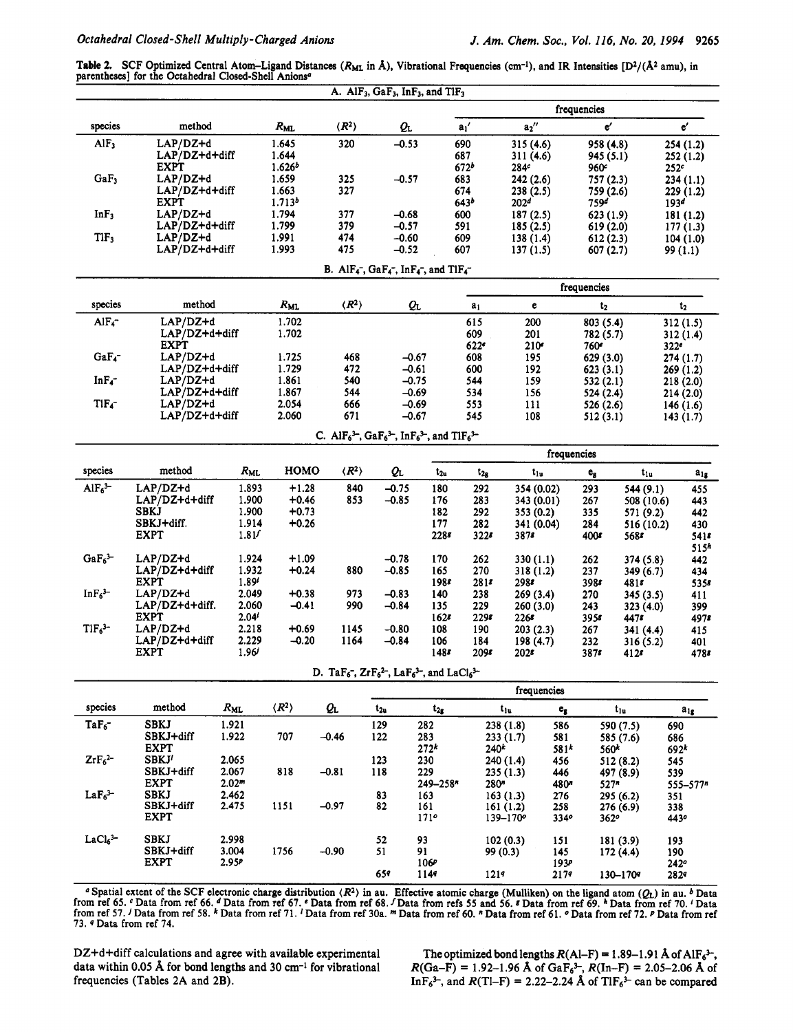Table 2. SCF Optimized Central Atom-Ligand Distances (R<sub>ML</sub> in  $\hat{A}$ ), Vibrational Frequencies (cm<sup>-1</sup>), and IR Intensities [D<sup>2</sup>/( $\hat{A}^2$  amu), in parentheses] for the Octahedral Closed-Shell Anions<sup>a</sup>

|                                                                                   |                                                                                                                                          |                   |                             |                                                                                                                                          | A. AlF <sub>3</sub> , GaF <sub>3</sub> , InF <sub>3</sub> , and TlF <sub>3</sub> |                  |                  |                          |                         |                           |                         |                          |
|-----------------------------------------------------------------------------------|------------------------------------------------------------------------------------------------------------------------------------------|-------------------|-----------------------------|------------------------------------------------------------------------------------------------------------------------------------------|----------------------------------------------------------------------------------|------------------|------------------|--------------------------|-------------------------|---------------------------|-------------------------|--------------------------|
|                                                                                   |                                                                                                                                          |                   |                             |                                                                                                                                          |                                                                                  |                  |                  |                          |                         | frequencies               |                         |                          |
| species                                                                           | method                                                                                                                                   |                   | $R_{ML}$                    | $\langle R^2 \rangle$                                                                                                                    | Qı                                                                               |                  | $a_1'$           | $a_2''$                  |                         | e'                        |                         | $\mathbf{e}'$            |
| AlF <sub>3</sub>                                                                  | LAP/DZ+d                                                                                                                                 |                   | 1.645                       | 320                                                                                                                                      | $-0.53$                                                                          |                  | 690              | 315 (4.6)                |                         | 958 (4.8)                 |                         | 254 (1.2)                |
|                                                                                   | LAP/DZ+d+diff                                                                                                                            |                   | 1.644                       |                                                                                                                                          |                                                                                  |                  | 687              | 311(4.6)                 |                         | 945 (5.1)                 |                         | 252(1.2)                 |
| GaF <sub>3</sub>                                                                  | <b>EXPT</b><br>$LAP/DZ+d$                                                                                                                |                   | 1.626 <sup>b</sup><br>1.659 | 325                                                                                                                                      | $-0.57$                                                                          |                  | 672 <sup>b</sup> | 284c                     |                         | 960°                      |                         | 252c                     |
|                                                                                   | $LAP/DZ+d+diff$                                                                                                                          |                   | 1.663                       | 327                                                                                                                                      |                                                                                  |                  | 683<br>674       | 242(2.6)<br>238 (2.5)    |                         | 757 (2.3)<br>759 (2.6)    |                         | 234 (1.1)<br>229 (1.2)   |
|                                                                                   | <b>EXPT</b>                                                                                                                              |                   | 1.713 <sup>b</sup>          |                                                                                                                                          |                                                                                  |                  | 643 <sup>b</sup> | 202 <sup>d</sup>         |                         | 7594                      |                         | 193 <sup>d</sup>         |
| InF <sub>3</sub>                                                                  | $LAP/DZ+d$                                                                                                                               |                   | 1.794                       | 377                                                                                                                                      | $-0.68$                                                                          |                  | 600              | 187(2.5)                 |                         | 623(1.9)                  |                         | 181(1.2)                 |
|                                                                                   | LAP/DZ+d+diff                                                                                                                            |                   | 1.799                       | 379                                                                                                                                      | $-0.57$                                                                          |                  | 591              | 185(2.5)                 |                         | 619(2.0)                  |                         | 177(1.3)                 |
| TIF <sub>3</sub>                                                                  | $LAP/DZ+d$<br>LAP/DZ+d+diff                                                                                                              |                   | 1.991<br>1.993              | 474<br>475                                                                                                                               | $-0.60$<br>$-0.52$                                                               |                  | 609<br>607       | 138(1.4)<br>137(1.5)     |                         | 612(2.3)                  |                         | 104(1.0)                 |
| 607 (2.7)<br>99 (1.1)<br>B. Al $F_4^-$ , Ga $F_4^-$ , In $F_4^-$ , and Tl $F_4^-$ |                                                                                                                                          |                   |                             |                                                                                                                                          |                                                                                  |                  |                  |                          |                         |                           |                         |                          |
| frequencies                                                                       |                                                                                                                                          |                   |                             |                                                                                                                                          |                                                                                  |                  |                  |                          |                         |                           |                         |                          |
| species                                                                           | method                                                                                                                                   |                   | $R_{ML}$                    | $\langle R^2 \rangle$                                                                                                                    |                                                                                  | QL               | a <sub>1</sub>   | $\mathbf{e}$             |                         | $t_{2}$                   |                         | $t_{2}$                  |
| AlF <sub>4</sub>                                                                  | LAP/DZ+d                                                                                                                                 |                   | 1.702                       |                                                                                                                                          |                                                                                  |                  | 615              | 200                      |                         | 803 (5.4)                 |                         | 312(1.5)                 |
|                                                                                   | LAP/DZ+d+diff                                                                                                                            |                   | 1.702                       |                                                                                                                                          |                                                                                  |                  | 609              | 201                      |                         | 782 (5.7)                 |                         | 312(1.4)                 |
|                                                                                   | <b>EXPT</b>                                                                                                                              |                   |                             |                                                                                                                                          |                                                                                  |                  | 622°             | 210 <sup>e</sup>         |                         | 760ء                      |                         | 322 <sup>e</sup>         |
| GaF <sub>4</sub> -                                                                | $LAP/DZ+d$<br>LAP/DZ+d+diff                                                                                                              |                   | 1.725<br>1.729              | 468<br>472                                                                                                                               |                                                                                  | -0.67<br>$-0.61$ | 608<br>600       | 195<br>192               |                         | 629 (3.0)<br>623(3.1)     |                         | 274(1.7)<br>269(1.2)     |
| $InF_{4}^-$                                                                       | $LAP/DZ+d$                                                                                                                               |                   | 1.861                       | 540                                                                                                                                      |                                                                                  | $-0.75$          | 544              | 159                      |                         | 532(2.1)                  |                         | 218(2.0)                 |
|                                                                                   | LAP/DZ+d+diff                                                                                                                            |                   | 1.867                       | 544                                                                                                                                      |                                                                                  | $-0.69$          | 534              | 156                      |                         | 524 (2.4)                 |                         | 214(2.0)                 |
| $TIF_4$ -                                                                         | $LAP/DZ+d$                                                                                                                               |                   | 2.054                       | 666                                                                                                                                      |                                                                                  | $-0.69$          | 553              | 111                      |                         | 526 (2.6)                 |                         | 146(1.6)                 |
|                                                                                   | LAP/DZ+d+diff                                                                                                                            |                   | 2.060                       | 671                                                                                                                                      |                                                                                  | $-0.67$          | 545              | 108                      |                         | 512 (3.1)                 |                         | 143(1.7)                 |
|                                                                                   | C. AlF <sub>6</sub> <sup>3-</sup> , GaF <sub>6</sub> <sup>3-</sup> , InF <sub>6</sub> <sup>3-</sup> , and TlF <sub>6</sub> <sup>3-</sup> |                   |                             |                                                                                                                                          |                                                                                  |                  |                  |                          |                         |                           |                         |                          |
| species                                                                           | method                                                                                                                                   | $R_{ML}$          | HOMO                        | $\langle R^2 \rangle$                                                                                                                    | Qı                                                                               | $t_{2u}$         |                  | $t_{1u}$                 | frequencies             |                           |                         |                          |
| AlF <sub>6</sub> <sup>3</sup>                                                     |                                                                                                                                          |                   |                             |                                                                                                                                          |                                                                                  |                  | $t_{2g}$         |                          |                         | $\mathbf{e}_{\mathbf{g}}$ | $t_{1u}$                | $\mathbf{a}_{1g}$        |
|                                                                                   | LAP/DZ+d<br>$LAP/DZ+d+diff$                                                                                                              | 1.893<br>1.900    | $+1.28$<br>+0.46            | 840<br>853                                                                                                                               | $-0.75$<br>$-0.85$                                                               | 180<br>176       | 292<br>283       | 354 (0.02)<br>343 (0.01) |                         | 293<br>267                | 544 (9.1)<br>508 (10.6) | 455<br>443               |
|                                                                                   | <b>SBKJ</b>                                                                                                                              | 1.900             | $+0.73$                     |                                                                                                                                          |                                                                                  | 182              | 292              | 353 (0.2)                |                         | 335                       | 571 (9.2)               | 442                      |
|                                                                                   | SBKJ+diff.                                                                                                                               | 1.914             | $+0.26$                     |                                                                                                                                          |                                                                                  | 177              | 282              | 341 (0.04)               |                         | 284                       | 516 (10.2)              | 430                      |
|                                                                                   | <b>EXPT</b>                                                                                                                              | 1.81              |                             |                                                                                                                                          |                                                                                  | 228s             | 3228             | 3878                     |                         | 400 <sup>g</sup>          | 5688                    | 5415                     |
| $GaF_6$ <sup>3-</sup>                                                             | $LAP/DZ+d$                                                                                                                               | 1.924             | $+1.09$                     |                                                                                                                                          | $-0.78$                                                                          | 170              | 262              |                          |                         |                           |                         | 515 <sup>h</sup>         |
|                                                                                   | LAP/DZ+d+diff                                                                                                                            | 1.932             | $+0.24$                     | 880                                                                                                                                      | $-0.85$                                                                          | 165              | 270              | 330 (1.1)<br>318(1.2)    |                         | 262<br>237                | 374 (5.8)<br>349 (6.7)  | 442<br>434               |
|                                                                                   | <b>EXPT</b>                                                                                                                              | 1.89'             |                             |                                                                                                                                          |                                                                                  | 1985             | 281s             | 2988                     |                         | 3988                      | 4818                    | 5358                     |
| InF <sub>6</sub> <sup>3</sup>                                                     | $LAP/DZ+d$                                                                                                                               | 2.049             | $+0.38$                     | 973                                                                                                                                      | $-0.83$                                                                          | 140              | 238              | 269 (3.4)                |                         | 270                       | 345(3.5)                | 411                      |
|                                                                                   | $LAP/DZ+d+diff.$                                                                                                                         | 2.060             | $-0.41$                     | 990                                                                                                                                      | $-0.84$                                                                          | 135              | 229              | 260(3.0)                 |                         | 243                       | 323(4.0)                | 399                      |
| $TIF63-$                                                                          | <b>EXPT</b><br>$LAP/DZ+d$                                                                                                                | 2.04'<br>2.218    | $+0.69$                     | 1145                                                                                                                                     | $-0.80$                                                                          | 1628<br>108      | $229$ s<br>190   | 2268<br>203(2.3)         |                         | 3958<br>267               | 4478<br>341 (4.4)       | 497s<br>415              |
|                                                                                   | $LAP/DZ + d + diff$                                                                                                                      | 2.229             | $-0.20$                     | 1164                                                                                                                                     | $-0.84$                                                                          | 106              | 184              | 198 (4.7)                |                         | 232                       | 316(5.2)                | 401                      |
|                                                                                   | <b>EXPT</b>                                                                                                                              | 1.96'             |                             |                                                                                                                                          |                                                                                  | 148s             | 209s             | 202 <sub>s</sub>         |                         | 3878                      | 4128                    | 4785                     |
|                                                                                   |                                                                                                                                          |                   |                             | D. TaF <sub>6</sub> <sup>-</sup> , ZrF <sub>6</sub> <sup>2-</sup> , LaF <sub>6</sub> <sup>3-</sup> , and LaCl <sub>6</sub> <sup>3-</sup> |                                                                                  |                  |                  |                          |                         |                           |                         |                          |
|                                                                                   |                                                                                                                                          |                   |                             |                                                                                                                                          |                                                                                  |                  |                  | frequencies              |                         |                           |                         |                          |
| species                                                                           | method                                                                                                                                   | $R_{ML}$          | $\langle R^2 \rangle$       | Qı                                                                                                                                       | $t_{2n}$                                                                         | $t_{2g}$         |                  | $t_{1u}$                 | $\mathbf{e}_\mathbf{g}$ |                           | $t_{1u}$                | $a_{1g}$                 |
| $TaF_6^-$                                                                         | <b>SBKJ</b>                                                                                                                              | 1.921             |                             |                                                                                                                                          | 129                                                                              | 282              |                  | 238(1.8)                 | 586                     |                           | 590 (7.5)               | 690                      |
|                                                                                   | SBKJ+diff                                                                                                                                | 1.922             | 707                         | $-0.46$                                                                                                                                  | 122                                                                              | 283              |                  | 233 (1.7)                | 581                     |                           | 585 (7.6)               | 686                      |
| $ZrF_6^2$                                                                         | <b>EXPT</b><br>SBKJ <sup>1</sup>                                                                                                         | 2.065             |                             |                                                                                                                                          | 123                                                                              | 272 <sup>k</sup> | 240 <sup>k</sup> |                          | $581*$                  | 560 <sup>k</sup>          |                         | $692^k$                  |
|                                                                                   | SBKJ+diff                                                                                                                                | 2.067             | 818                         | $-0.81$                                                                                                                                  | 118                                                                              | 230<br>229       |                  | 240 (1.4)<br>235(1.3)    | 456<br>446              |                           | 512 (8.2)<br>497 (8.9)  | 545<br>539               |
|                                                                                   | <b>EXPT</b>                                                                                                                              | 2.02 <sup>m</sup> |                             |                                                                                                                                          |                                                                                  | 249-258*         | 280"             |                          | 480*                    | 527 <sup>n</sup>          |                         | $555 - 577$ <sup>n</sup> |
| LaF <sub>6</sub> <sup>3</sup>                                                     | <b>SBKJ</b>                                                                                                                              | 2.462             |                             |                                                                                                                                          | 83                                                                               | 163              |                  | 163(1.3)                 | 276                     |                           | 295 (6.2)               | 351                      |
|                                                                                   | SBKJ+diff<br><b>EXPT</b>                                                                                                                 | 2.475             | 1151                        | $-0.97$                                                                                                                                  | 82                                                                               | 161              |                  | 161(1.2)                 | 258                     |                           | 276 (6.9)               | 338                      |
|                                                                                   |                                                                                                                                          |                   |                             |                                                                                                                                          |                                                                                  | 171°             |                  | $139 - 170^o$            | 3340                    | 362°                      |                         | 4430                     |
| $LaCl63-$                                                                         | <b>SBKJ</b>                                                                                                                              | 2.998             |                             |                                                                                                                                          | 52                                                                               | 93               |                  | 102(0.3)                 | 151                     |                           | 181 (3.9)               | 193                      |
|                                                                                   | SBKJ+diff                                                                                                                                | 3.004             | 1756                        | $-0.90$                                                                                                                                  | 51                                                                               | 91               |                  | 99 (0.3)                 | 145                     |                           | 172(4.4)                | 190                      |
|                                                                                   | <b>EXPT</b>                                                                                                                              | 2.95P             |                             |                                                                                                                                          |                                                                                  | 106P             |                  |                          | 1934                    |                           |                         | 242°                     |
|                                                                                   |                                                                                                                                          |                   |                             |                                                                                                                                          | 659                                                                              | 1149             | 1219             |                          | 2179                    |                           | 130-1709                | 2829                     |

~~ **<sup>a</sup>**Spatial extent of the SCF electronic charge distribution *(R2)* in au. Effective atomic charge (Mulliken) on the ligand atom **(QL)** in au. *b* Data from ref 65. <sup>c</sup> Data from ref 66. <sup>d</sup> Data from ref 67. <sup>c</sup> Data from ref 68. *f* Data from refs 55 and 56. *8* Data from ref 69. <sup>h</sup> Data from ref 70. *'* Data from ref 57. <sup>J</sup> Data from ref 58. <sup>k</sup> Data from ref 71. <sup>J</sup> Data from ref 30a. m Data from ref 60. n Data from ref 61. n Data from ref 72. n Data from ref 72. n Data from ref 73. 9 Data from ref 74.

DZ+d+diff calculations and agree with available experimental data within 0.05 **A** for bond lengths and 30 cm-1 for vibrational frequencies (Tables 2A and **2B).** 

The optimized bond lengths  $R(A|-F) = 1.89-1.91 \text{ Å of } AlF_6^{3-}$ ,  $R(Ga-F) = 1.92-1.96$  Å of  $GaF_6^3$ ,  $R(In-F) = 2.05-2.06$  Å of InF<sub>6</sub><sup>3-</sup>, and  $R(TI-F) = 2.22-2.24$  Å of TlF<sub>6</sub><sup>3-</sup> can be compared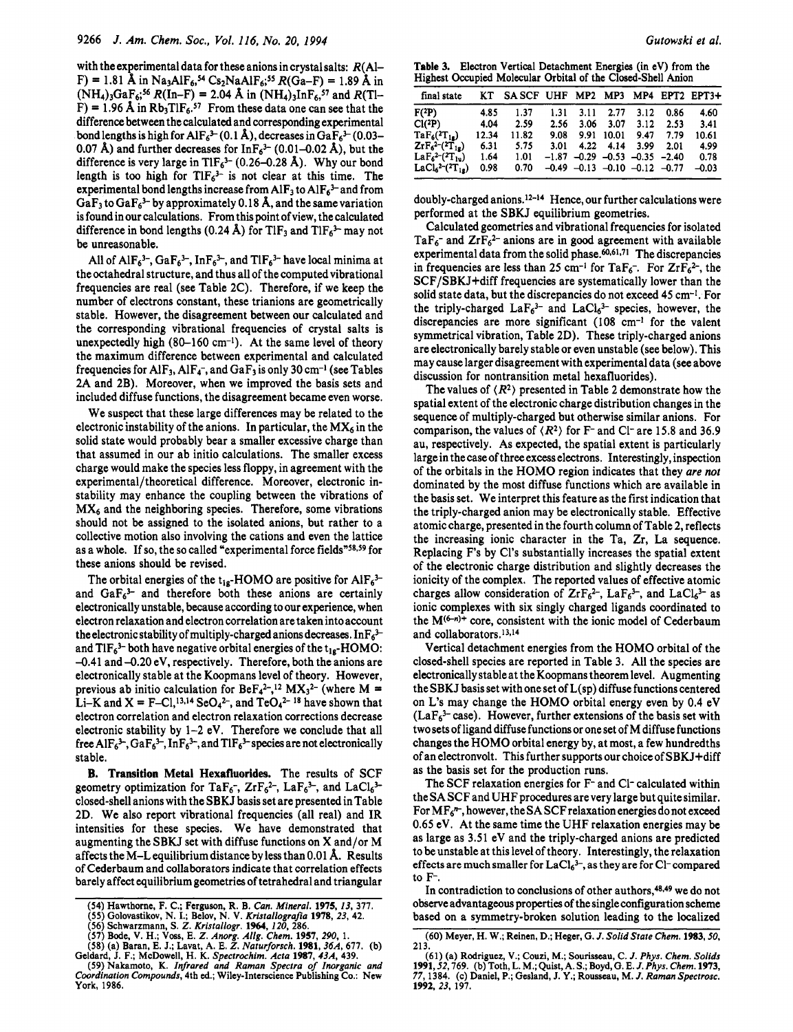with the experimental data for these anions in crystal salts:  $R(A)$ - $F$ ) = 1.81 Å in Na<sub>3</sub>AlF<sub>6</sub>,<sup>54</sup> Cs<sub>2</sub>NaAlF<sub>6</sub>;<sup>55</sup> R(Ga–F) = 1.89 Å in  $(NH_4)_3GaF_6$ ;<sup>56</sup>  $R(In-F) = 2.04$  Å in  $(NH_4)_3InF_6$ ,<sup>57</sup> and  $R(Th-F)$ F) = 1.96 Å in  $Rb_3TIF_6.^{57}$  From these data one can see that the difference between the calculated and corresponding experimental bond lengths is high for AlF<sub>6</sub><sup>3-</sup>(0.1 Å), decreases in GaF<sub>6</sub><sup>3-</sup>(0.03-0.07 Å) and further decreases for  $\text{Inf}_{6}^{3-}$  (0.01–0.02 Å), but the difference is very large in TlF<sub>6</sub><sup>3–</sup> (0.26–0.28 Å). Why our bond length is too high for  $TIF_6^{3-}$  is not clear at this time. The experimental bond lengths increase from  $AIF_3$  to  $AIF_6<sup>3-</sup>$  and from GaF<sub>3</sub> to GaF<sub>6</sub><sup>3-</sup> by approximately 0.18 Å, and the same variation is found in our calculations. From this point of view, the calculated difference in bond lengths (0.24 Å) for TlF<sub>3</sub> and TlF<sub>6</sub><sup>3-</sup> may not be unreasonable.

All of AlF<sub>6</sub><sup>3-</sup>, GaF<sub>6</sub><sup>3-</sup>, InF<sub>6</sub><sup>3-</sup>, and TlF<sub>6</sub><sup>3-</sup> have local minima at the octahedral structure, and thus all of the computed vibrational frequencies are real (see Table 2C). Therefore, if we keep the number of electrons constant, these trianions are geometrically stable. However, the disagreement between our calculated and the corresponding vibrational frequencies of crystal salts is unexpectedly high  $(80-160 \text{ cm}^{-1})$ . At the same level of theory the maximum difference between experimental and calculated frequencies for AlF<sub>3</sub>, AlF<sub>4</sub>-, and GaF<sub>3</sub> is only 30 cm<sup>-1</sup> (see Tables 2A and 2B). Moreover, when we improved the basis sets and included diffuse functions, the disagreement became even worse.

We suspect that these large differences may be related to the electronic instability of the anions. In particular, the  $MX_6$  in the solid state would probably bear a smaller excessive charge than that assumed in our ab initio calculations. The smaller excess charge would make the species less floppy, in agreement with the **experimental/theoretical** difference. Moreover, electronic instability may enhance the coupling between the vibrations of  $MX<sub>6</sub>$  and the neighboring species. Therefore, some vibrations should not be assigned to the isolated anions, but rather to a collective motion also involving the cations and even the lattice as a whole. If so, the so called "experimental force fields"58,59 for these anions should be revised.

The orbital energies of the t<sub>lg</sub>-HOMO are positive for AlF<sub>6</sub><sup>3-</sup> and  $GaF_6^{3-}$  and therefore both these anions are certainly electronically unstable, because according to our experience, when electron relaxation and electron correlation are taken into account the electronic stability of multiply-charged anions decreases.  $InF_6^3$ and TlF<sub>6</sub><sup>3-</sup> both have negative orbital energies of the  $t_{1g}$ -HOMO: -0.41 and-0.20 eV, respectively. Therefore, both the anions are electronically stable at the Koopmans level of theory. However, previous ab initio calculation for  $\text{BeF}_4^{2-12}$  MX<sub>3</sub><sup>2-</sup> (where M = Li-K and  $X = F - Cl$ , <sup>13,14</sup> SeO<sub>4</sub><sup>2-</sup>, and TeO<sub>4</sub><sup>2-18</sup> have shown that electron correlation and electron relaxation corrections decrease electronic stability by 1-2 eV. Therefore we conclude that all free AlF<sub>6</sub><sup>3-</sup>, GaF<sub>6</sub><sup>3-</sup>, InF<sub>6</sub><sup>3-</sup>, and TlF<sub>6</sub><sup>3-</sup> species are not electronically stable.

**B. Transition Metal Hexafluorides.** The results of SCF geometry optimization for TaF<sub>6</sub>-,  $ZrF_6^{2-}$ , LaF<sub>6</sub><sup>3</sup>-, and LaCl<sub>6</sub><sup>3-</sup> closed-shell anions with the SBKJ basis set are presented in Table 2D. We also report vibrational frequencies (all real) and IR intensities for these species. We have demonstrated that augmenting the SBKJ set with diffuse functions on X and/or M affects theM-L equilibriumdistance by less than 0.01 **A.** Results of Cederbaum and collaborators indicate that correlation effects barely affect equilibrium geometries of tetrahedral and triangular

Table 3. Electron Vertical Detachment Energies (in eV) from the Highest Occupied Molecular Orbital of the Closed-Shell Anion

| final state           | KТ    | SASCF UHF MP2 MP3 MP4 EPT2 EPT3+ |      |      |                                         |      |      |         |
|-----------------------|-------|----------------------------------|------|------|-----------------------------------------|------|------|---------|
| F(2P)                 | 4.85  | 1.37                             | 1.31 | 3.11 | 2.77                                    | 3.12 | 0.86 | 4.60    |
| $Cl(^{2}P)$           | 4.04  | 2.59                             | 2.56 | 3.06 | 3.07                                    | 3.12 | 2.53 | 3.41    |
| $TaF_6(^{2}T_{1g})$   | 12.34 | 11.82                            | 9.08 | 9.91 | 10.01                                   | 9.47 | 7.79 | 10.61   |
| $ZrF_6^{2-(2T_{1g})}$ | 6.31  | 5.75                             | 3.01 |      | 4.22 4.14                               | 3.99 | 2.01 | 4.99    |
| $LaF62-(2T1u)$        | 1.64  | 1.01                             |      |      | $-1.87$ $-0.29$ $-0.53$ $-0.35$ $-2.40$ |      |      | 0.78    |
| $LaCl62-(2T10)$       | 0.98  | 0.70                             |      |      | $-0.49$ $-0.13$ $-0.10$ $-0.12$ $-0.77$ |      |      | $-0.03$ |

doubly-charged anions.12-14 Hence, our further calculations were performed at the SBKJ equilibrium geometries.

Calculated geometries and vibrational frequencies for isolated TaF<sub>6</sub>- and ZrF<sub>6</sub><sup>2-</sup> anions are in good agreement with available experimental data from the solid phase. $60,61,71$  The discrepancies in frequencies are less than 25 cm<sup>-1</sup> for TaF<sub>6</sub><sup>-</sup>. For ZrF<sub>6</sub><sup>2-</sup>, the SCF/SBKJ+diff frequencies are systematically lower than the solid state data, but the discrepancies do not exceed 45 cm-1. For the triply-charged  $LaF<sub>6</sub><sup>3-</sup>$  and  $LaCl<sub>6</sub><sup>3-</sup>$  species, however, the discrepancies are more significant (108 cm<sup>-1</sup> for the valent symmetrical vibration, Table 2D). These triply-charged anions are electronically barely stable or even unstable (see below). This may cause larger disagreement with experimental data (see above discussion for nontransition metal hexafluorides).

The values of  $\langle R^2 \rangle$  presented in Table 2 demonstrate how the spatial extent of the electronic charge distribution changes in the sequence of multiply-charged but otherwise similar anions. For comparison, the values of  $\langle R^2 \rangle$  for F- and Cl- are 15.8 and 36.9 au, respectively. As expected, the spatial extent is particularly large in the case of three excess electrons. Interestingly, inspection of the orbitals in the HOMO region indicates that they are *not*  dominated by the most diffuse functions which are available in the basis set. We interpret this feature as the first indication that the triply-charged anion may be electronically stable. Effective atomic charge, presented in the fourth column of Table 2, reflects the increasing ionic character in the Ta, Zr, La sequence. Replacing **F's** by Cl's substantially increases the spatial extent of the electronic charge distribution and slightly decreases the ionicity of the complex. The reported values of effective atomic charges allow consideration of  $ZrF_6^{2-}$ , La $F_6^{3-}$ , and LaCl<sub>6</sub>3- as ionic complexes with six singly charged ligands coordinated to the  $M^{(6-n)+}$  core, consistent with the ionic model of Cederbaum and collaborators.<sup>13,14</sup>

Vertical detachment energies from the HOMO orbital of the closed-shell species are reported in Table 3. All the species are electronically stable at the Koopmans theorem level. Augmenting the SBKJ basis set withone set of L(sp) **diffusefunctionscentered**  on L's may change the HOMO orbital energy even by 0.4 eV  $(LaF<sub>6</sub><sup>3-</sup> case)$ . However, further extensions of the basis set with two sets of ligand diffuse functions or one set of M diffuse functions changes the HOMO orbital energy by, at most, a few hundredths of an electronvolt. This further supports our choice of SBKJ+diff as the basis set for the production runs.

The SCF relaxation energies for F- and C1- calculated within the SA SCF and UHF procedures are very large but quite similar. For  $MF<sub>6</sub><sup>n</sup>$ , however, the SA SCF relaxation energies do not exceed 0.65 eV. At the same time the UHF relaxation energies may be as large as 3.51 eV and the triply-charged anions are predicted to be unstable at this level of theory. Interestingly, the relaxation effects are much smaller for  $LaCl<sub>6</sub><sup>3-</sup>,$  as they are for Cl-compared to F-.

In contradiction to conclusions of other authors,<sup>48,49</sup> we do not observe advantageous properties of the single configuration scheme based on a symmetry-broken solution leading to the localized

**<sup>(54)</sup> Hawthorne, F. C.; Ferguson, R. B.** *Can. Mineral.* **1975, 13, 377. (55) Golovastikov, N. I.; Belov, N. V.** *KristallograJia* **1978, 23, 42.** 

**<sup>(56)</sup> Schwarzmann, S.** *Z. Krisrallogr.* **1964, 120, 286.** 

**<sup>(57)</sup> Bode, V. H.; Voss, E.** *Z. Anorg. Allg. Chem.* **1957, 290, 1. (58) (a) Baran, E. J.; Lavat, A. E.** *2. Naturforsch.* **1981,36A, 677. (b)** 

**Geldard,** J. **F.; McDowell, H. K.** *Spectrochim. Acta* **1987, 43A, 439.** 

**<sup>(59)</sup> Nakamoto, K.** *Infrared and Raman Spectra of Inorganic and Coordination Compounds,* **4th** *ed.;* **Wiley-Interscience Publishing Co.: New York, 1986.** 

**<sup>(60)</sup> Meyer, H. W.; Reinen, D.; Heger, G.** *J. Solid State Chem.* **1983,50, 213.** 

**<sup>(61) (</sup>a) Rodriguez, V.; Couzi, M.; Sourisseau, C.** *J. Phys. Chem. Solids*  1991, 52, 769. (b) Toth, L. M.; Quist, A. S.; Boyd, G. E. J. Phys. Chem. 1973,<br>77, 1384. (c) Daniel, P.; Gesland, J. Y.; Rousseau, M. J. *Raman Spectrosc.*<br>1992, *23*, 197.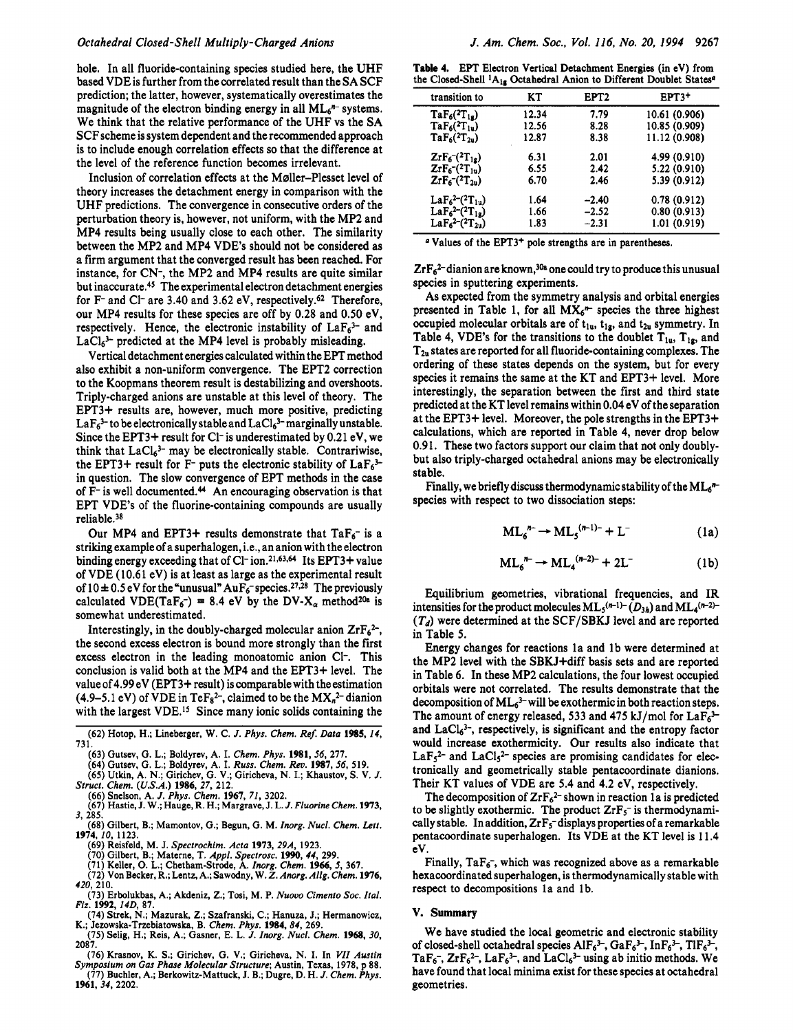hole. In all fluoride-containing species studied here, the UHF based VDE is further from the correlated result than the SA SCF prediction; the latter, however, systematically overestimates the magnitude of the electron binding energy in all  $ML<sub>6</sub>$ <sup>n</sup> systems. We think that the relative performance of the UHF vs the SA SCF scheme is system dependent and the recommended approach is to include enough correlation effects so that the difference at the level of the reference function becomes irrelevant.

Inclusion of correlation effects at the Møller-Plesset level of theory increases the detachment energy in comparison with the UHF predictions. The convergence in consecutive orders of the perturbation theory is, however, not uniform, with the MP2 and MP4 results being usually close to each other. The similarity between the MP2 and MP4 VDE's should not be considered as a firm argument that the converged result has been reached. For instance, for CN-, the MP2 and MP4 results are quite similar but inaccurate.<sup>45</sup> The experimental electron detachment energies for F<sup>-</sup> and Cl<sup>-</sup> are 3.40 and 3.62 eV, respectively.<sup>62</sup> Therefore, our MP4 results for these species are off by 0.28 and 0.50 eV, respectively. Hence, the electronic instability of  $LaF<sub>6</sub><sup>3-</sup>$  and  $LaCl<sub>6</sub><sup>3-</sup> predicted at the MP4 level is probably misleading.$ 

Vertical detachment energies calculated within the EPT method also exhibit a non-uniform convergence. The EFT2 correction to the Koopmans theorem result is destabilizing and overshoots. Triply-charged anions are unstable at this level of theory. The EPT3+ results are, however, much more positive, predicting  $LaF<sub>6</sub><sup>3-</sup>$  to be electronically stable and  $LaCl<sub>6</sub><sup>3-</sup> marginally unstable.$ Since the EPT3+ result for Cl<sup>-</sup> is underestimated by  $0.21$  eV, we think that  $LaCl<sub>6</sub><sup>3-</sup>$  may be electronically stable. Contrariwise, the EPT3+ result for F- puts the electronic stability of  $LaF<sub>6</sub><sup>3</sup>$ in question. The slow convergence of EPT methods in the case of  $F$ - is well documented.<sup>44</sup> An encouraging observation is that EPT VDE's of the fluorine-containing compounds are usually reliable.38

Our MP4 and EPT3+ results demonstrate that  $TaF_6$ <sup>-</sup> is a striking example of a superhalogen, i.e., an anion with the electron binding energy exceeding that of Cl-ion.<sup>21,63,64</sup> Its EPT3+ value of VDE (10.61 eV) is at least as large as the experimental result of  $10 \pm 0.5$  eV for the "unusual"  $A u F_6$  species.<sup>27,28</sup> The previously calculated VDE(TaF<sub>6</sub>-) = 8.4 eV by the DV-X<sub>a</sub> method<sup>20a</sup> is somewhat underestimated.

Interestingly, in the doubly-charged molecular anion  $ZrF_6^2$ -, the second excess electron is bound more strongly than the first excess electron in the leading monoatomic anion C1-. This conclusion is valid both at the MP4 and the EFT3+ level. The value of 4.99 eV (EPT3+ result) is comparable with the estimation (4.9–5.1 eV) of VDE in TeF<sub>8</sub><sup>2–</sup>, claimed to be the  $MX_n^2$ -dianion with the largest VDE.<sup>15</sup> Since many ionic solids containing the

**(62) Hotop, H.; Lineberger, W. C.** *J. Phys. Chem. Ref Dara* **1985,** *14,*  **731.** 

**(64) Gutsev, G. L.; Boldyrev, A.** I. *Russ. Chem. Rev.* **1987, 56, 519.** 

**(65) Utkin, A. N.; Girichev, G. V.; Giricheva, N. I.; Khaustov, S. V.** *J. Srrucr. Chem. (U.S.A.)* **1986,** *27,* **212.** 

**(66) Snelson, A.** *J. Phys. Chem.* **1967,** *71,* **3202.** 

**(67) Hastie, J. W.; Hauge, R. H.; Margrave, J. L.** *J. Fluorine Chem.* **1973, 3, 285.** 

- **(68) Gilbert, B.; Mamontov,** *G.;* **Begun, G. M.** *Inorg. Nucl. Chem. Left.*  **1974,** *10,* **1123.** 
	- **(69) Reisfeld, M. J.** *Specrrochim. Acta* **1973,** *29A,* **1923.**
	-
- (70) Gilbert, B.; Materne, T. *Appl. Spectrosc.* **1990, 44**, 299.<br>(71) Keller, O. L.; Chetham-Strode, A. *Inorg. Chem.* **1966,** 5, 367.<br>(72) Von Becker, R.; Lentz, A.; Sawodny, W.*Z. Anorg. Allg. Chem.* **1976,**
- *420,* **210. (73) Erbolukbas, A.; Akdeniz,** *2.;* **Tosi, M. P.** *Nuovo Cimenro* **SOC.** *Iral. Fiz.* **1992,** *140,* **87.**
- **(74) Strek, N.; Mazurak,** *2.;* **Szafranski, C.; Hanuza, J.; Hermanowicz,**
- **K.; Jezowska-Trzebiatowska, B.** *Chem. Phys.* **1984,** *84,* **269. (75) Selig, H.; Reis, A.; Gamer, E. L.** *J. Inorg. Nucl. Chem.* **1968,** *30,*
- **2087. (76) Krasnov, K. S.; Girichev, G. V.; Giricheva, N. I. In** *VII Austin*
- *Symposium on Gas Phase Molecular Structure;* **Austin, Texas, 1978, p 88. (77) Buchler, A.; Berkowitz-Mattuck, J. B.; Dugre, D. H.** *J. Chem. Phys.*  **1961,34, 2202.**

**Table 4. EFT** Electron Vertical Detachment Energica (in **eV)** from the Closed-Shell <sup>1</sup>A<sub>1s</sub> Octahedral Anion to Different Doublet States<sup>a</sup>

| transition to                            | KT    | EPT <sub>2</sub> | EPT3+         |
|------------------------------------------|-------|------------------|---------------|
| $TaF_6(^2T_{1s})$                        | 12.34 | 7.79             | 10.61 (0.906) |
| $TaF_6(^2T_{1u})$                        | 12.56 | 8.28             | 10.85 (0.909) |
| $TaF_6(^{2}T_{2n})$                      | 12.87 | 8.38             | 11.12 (0.908) |
| $ZrF_6$ <sup>-(2</sup> T <sub>1g</sub> ) | 6.31  | 2.01             | 4.99 (0.910)  |
| $ZrF_6$ <sup>-(2</sup> T <sub>1u</sub> ) | 6.55  | 2.42             | 5.22 (0.910)  |
| $ZrF_6$ <sup>-(2</sup> T <sub>2u</sub> ) | 6.70  | 2.46             | 5.39 (0.912)  |
| $LaF62-(2T1u)$                           | 1.64  | $-2.40$          | 0.78(0.912)   |
| $LaF62–(2T1g)$                           | 1.66  | $-2.52$          | 0.80(0.913)   |
| $LaF62-(2T2u)$                           | 1.83  | $-2.31$          | 1.01 (0.919)  |

<sup>a</sup> Values of the EPT3<sup>+</sup> pole strengths are in parentheses.

 $ZrF<sub>6</sub><sup>2</sup>$ -dianion are known,<sup>30a</sup> one could try to produce this unusual species in sputtering experiments.

As expected from the symmetry analysis and orbital energies presented in Table 1, for all  $MX_6^*$  species the three highest occupied molecular orbitals are of  $t_{1u}$ ,  $t_{1g}$ , and  $t_{2u}$  symmetry. In Table 4, VDE's for the transitions to the doublet  $T_{1u}$ ,  $T_{1g}$ , and  $T_{2u}$  states are reported for all fluoride-containing complexes. The ordering of these states depends on the system, but for every species it remains the same at the KT and EPT3+ level. More interestingly, the separation between the first and third state predicted at the KT level remains within 0.04 eV of the separation at the EPT3+ level. Moreover, the pole strengths in the EPT3+ calculations, which are reported in Table 4, never drop below 0.91. These two factors support our claim that not only doublybut also triply-charged octahedral anions may be electronically stable.

Finally, we briefly discuss thermodynamic stability of the  $ML<sub>6</sub>$ \* species with respect to two dissociation steps:

$$
\mathrm{ML}_{6}^{n-} \to \mathrm{ML}_{5}^{(n-1)-} + \mathrm{L}^{-}
$$
 (1a)

$$
ML_6^{n-} \to ML_4^{(n-2)-} + 2L^-
$$
 (1b)

Equilibrium geometries, vibrational frequencies, and IR intensities for the product molecules  $ML_5(n-1)-(D_{3h})$  and  $ML_4(n-2)-$ *(Td)* were determined at the SCF/SBKJ level and are reported in Table *5.* 

Energy changes for reactions la and lb were determined at the MP2 level with the SBKJ+diff basis sets and are reported in Table **6.** In these MP2 calculations, the four lowest occupied orbitals were not correlated. The results demonstrate that the decomposition of  $ML<sub>6</sub><sup>3-</sup>$  will be exothermic in both reaction steps. The amount of energy released, 533 and 475 kJ/mol for  $LaF_6<sup>3</sup>$ and  $LaCl<sub>6</sub><sup>3-</sup>$ , respectively, is significant and the entropy factor would increase exothermicity. Our results also indicate that  $LaF<sub>5</sub><sup>2-</sup>$  and  $LaCl<sub>5</sub><sup>2-</sup>$  species are promising candidates for electronically and geometrically stable pentacoordinate dianions. Their KT values of VDE are 5.4 and 4.2 eV, respectively.

The decomposition of  $ZrF_6^2$ -shown in reaction 1a is predicted to be slightly exothermic. The product  $ZrF_5$  is thermodynamically stable. In addition,  $ZrF_5$ -displays properties of a remarkable pentacoordinate superhalogen. Its VDE at the KT level is 11.4 eV.

Finally,  $TaF_6$ , which was recognized above as a remarkable hexacoordinated superhalogen, is thermodynamically stable with respect to decompositions la and lb.

#### **V. Summary**

We have studied the local geometric and electronic stability of closed-shell octahedral species  $AIF_6^{3-}$ ,  $GaF_6^{3-}$ ,  $InF_6^{3-}$ ,  $TIF_6^{3-}$ , TaF<sub>6</sub>-,  $ZrF_6^2$ -, LaF<sub>6</sub><sup>3-</sup>, and LaCl<sub>6</sub><sup>3-</sup> using ab initio methods. We have found that local minima exist for these species at octahedral geometries.

**<sup>(63)</sup> Gutsev, G. L.; Boldyrev, A. I.** *Chem. Phys.* **1981,56, 277.**